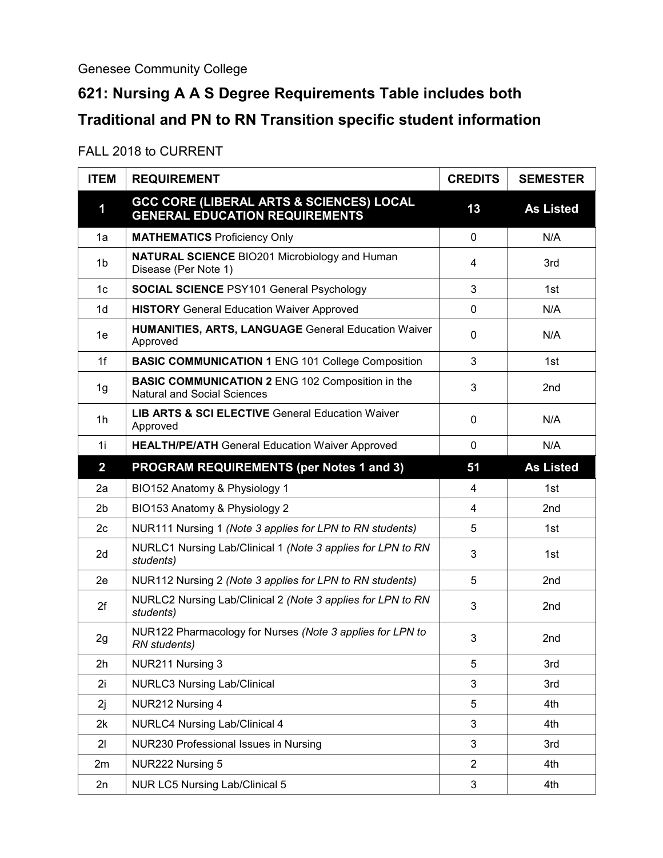## Genesee Community College

## **621: Nursing A A S Degree Requirements Table includes both Traditional and PN to RN Transition specific student information**

## FALL 2018 to CURRENT

| <b>ITEM</b>             | <b>REQUIREMENT</b>                                                                            | <b>CREDITS</b> | <b>SEMESTER</b>  |
|-------------------------|-----------------------------------------------------------------------------------------------|----------------|------------------|
| 1                       | <b>GCC CORE (LIBERAL ARTS &amp; SCIENCES) LOCAL</b><br><b>GENERAL EDUCATION REQUIREMENTS</b>  | 13             | <b>As Listed</b> |
| 1a                      | <b>MATHEMATICS Proficiency Only</b>                                                           | $\mathbf 0$    | N/A              |
| 1 <sub>b</sub>          | <b>NATURAL SCIENCE BIO201 Microbiology and Human</b><br>Disease (Per Note 1)                  | 4              | 3rd              |
| 1 <sub>c</sub>          | <b>SOCIAL SCIENCE PSY101 General Psychology</b>                                               | 3              | 1st              |
| 1 <sub>d</sub>          | <b>HISTORY</b> General Education Waiver Approved                                              | $\mathbf 0$    | N/A              |
| 1e                      | <b>HUMANITIES, ARTS, LANGUAGE General Education Waiver</b><br>Approved                        | 0              | N/A              |
| 1f                      | <b>BASIC COMMUNICATION 1 ENG 101 College Composition</b>                                      | 3              | 1st              |
| 1g                      | <b>BASIC COMMUNICATION 2 ENG 102 Composition in the</b><br><b>Natural and Social Sciences</b> | 3              | 2nd              |
| 1 <sub>h</sub>          | <b>LIB ARTS &amp; SCI ELECTIVE General Education Waiver</b><br>Approved                       | 0              | N/A              |
| 1i                      | <b>HEALTH/PE/ATH General Education Waiver Approved</b>                                        | 0              | N/A              |
| $\overline{\mathbf{2}}$ | <b>PROGRAM REQUIREMENTS (per Notes 1 and 3)</b>                                               | 51             | <b>As Listed</b> |
| 2a                      | BIO152 Anatomy & Physiology 1                                                                 | 4              | 1st              |
| 2 <sub>b</sub>          | BIO153 Anatomy & Physiology 2                                                                 | $\overline{4}$ | 2nd              |
| 2c                      | NUR111 Nursing 1 (Note 3 applies for LPN to RN students)                                      | 5              | 1st              |
| 2d                      | NURLC1 Nursing Lab/Clinical 1 (Note 3 applies for LPN to RN<br>students)                      | 3              | 1st              |
| 2e                      | NUR112 Nursing 2 (Note 3 applies for LPN to RN students)                                      | 5              | 2nd              |
| 2f                      | NURLC2 Nursing Lab/Clinical 2 (Note 3 applies for LPN to RN<br>students)                      | 3              | 2nd              |
| 2g                      | NUR122 Pharmacology for Nurses (Note 3 applies for LPN to<br>RN students)                     | 3              | 2nd              |
| 2h                      | NUR211 Nursing 3                                                                              | 5              | 3rd              |
| 2i                      | <b>NURLC3 Nursing Lab/Clinical</b>                                                            | 3              | 3rd              |
| 2j                      | NUR212 Nursing 4                                                                              | 5              | 4th              |
| 2k                      | <b>NURLC4 Nursing Lab/Clinical 4</b>                                                          | $\mathbf{3}$   | 4th              |
| 21                      | NUR230 Professional Issues in Nursing                                                         | 3              | 3rd              |
| 2m                      | NUR222 Nursing 5                                                                              | $\overline{2}$ | 4th              |
| 2n                      | NUR LC5 Nursing Lab/Clinical 5                                                                | $\mathfrak{S}$ | 4th              |